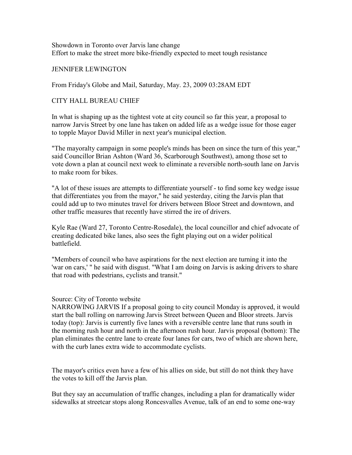Showdown in Toronto over Jarvis lane change Effort to make the street more bike-friendly expected to meet tough resistance

## JENNIFER LEWINGTON

From Friday's Globe and Mail, Saturday, May. 23, 2009 03:28AM EDT

## CITY HALL BUREAU CHIEF

In what is shaping up as the tightest vote at city council so far this year, a proposal to narrow Jarvis Street by one lane has taken on added life as a wedge issue for those eager to topple Mayor David Miller in next year's municipal election.

"The mayoralty campaign in some people's minds has been on since the turn of this year," said Councillor Brian Ashton (Ward 36, Scarborough Southwest), among those set to vote down a plan at council next week to eliminate a reversible north-south lane on Jarvis to make room for bikes.

"A lot of these issues are attempts to differentiate yourself - to find some key wedge issue that differentiates you from the mayor," he said yesterday, citing the Jarvis plan that could add up to two minutes travel for drivers between Bloor Street and downtown, and other traffic measures that recently have stirred the ire of drivers.

Kyle Rae (Ward 27, Toronto Centre-Rosedale), the local councillor and chief advocate of creating dedicated bike lanes, also sees the fight playing out on a wider political battlefield.

"Members of council who have aspirations for the next election are turning it into the 'war on cars,' " he said with disgust. "What I am doing on Jarvis is asking drivers to share that road with pedestrians, cyclists and transit."

## Source: City of Toronto website

NARROWING JARVIS If a proposal going to city council Monday is approved, it would start the ball rolling on narrowing Jarvis Street between Queen and Bloor streets. Jarvis today (top): Jarvis is currently five lanes with a reversible centre lane that runs south in the morning rush hour and north in the afternoon rush hour. Jarvis proposal (bottom): The plan eliminates the centre lane to create four lanes for cars, two of which are shown here, with the curb lanes extra wide to accommodate cyclists.

The mayor's critics even have a few of his allies on side, but still do not think they have the votes to kill off the Jarvis plan.

But they say an accumulation of traffic changes, including a plan for dramatically wider sidewalks at streetcar stops along Roncesvalles Avenue, talk of an end to some one-way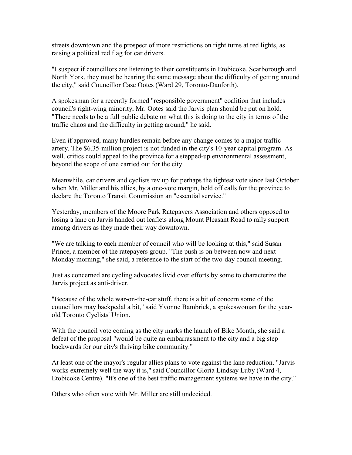streets downtown and the prospect of more restrictions on right turns at red lights, as raising a political red flag for car drivers.

"I suspect if councillors are listening to their constituents in Etobicoke, Scarborough and North York, they must be hearing the same message about the difficulty of getting around the city," said Councillor Case Ootes (Ward 29, Toronto-Danforth).

A spokesman for a recently formed "responsible government" coalition that includes council's right-wing minority, Mr. Ootes said the Jarvis plan should be put on hold. "There needs to be a full public debate on what this is doing to the city in terms of the traffic chaos and the difficulty in getting around," he said.

Even if approved, many hurdles remain before any change comes to a major traffic artery. The \$6.35-million project is not funded in the city's 10-year capital program. As well, critics could appeal to the province for a stepped-up environmental assessment, beyond the scope of one carried out for the city.

Meanwhile, car drivers and cyclists rev up for perhaps the tightest vote since last October when Mr. Miller and his allies, by a one-vote margin, held off calls for the province to declare the Toronto Transit Commission an "essential service."

Yesterday, members of the Moore Park Ratepayers Association and others opposed to losing a lane on Jarvis handed out leaflets along Mount Pleasant Road to rally support among drivers as they made their way downtown.

"We are talking to each member of council who will be looking at this," said Susan Prince, a member of the ratepayers group. "The push is on between now and next Monday morning," she said, a reference to the start of the two-day council meeting.

Just as concerned are cycling advocates livid over efforts by some to characterize the Jarvis project as anti-driver.

"Because of the whole war-on-the-car stuff, there is a bit of concern some of the councillors may backpedal a bit," said Yvonne Bambrick, a spokeswoman for the yearold Toronto Cyclists' Union.

With the council vote coming as the city marks the launch of Bike Month, she said a defeat of the proposal "would be quite an embarrassment to the city and a big step backwards for our city's thriving bike community."

At least one of the mayor's regular allies plans to vote against the lane reduction. "Jarvis works extremely well the way it is," said Councillor Gloria Lindsay Luby (Ward 4, Etobicoke Centre). "It's one of the best traffic management systems we have in the city."

Others who often vote with Mr. Miller are still undecided.